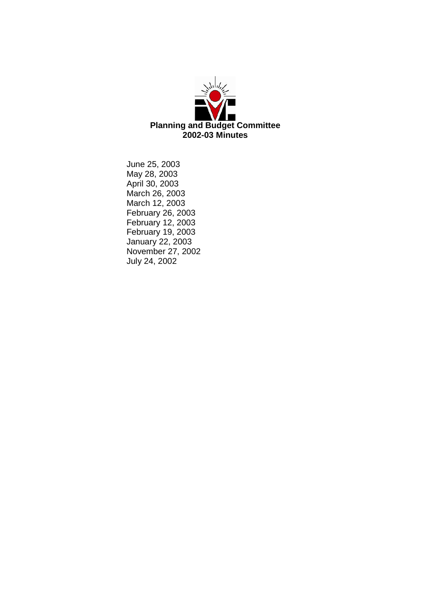

June 25, 2003 May 28, 2003 April 30, 2003 March 26, 2003 March 12, 2003 February 26, 2003 February 12, 2003 February 19, 2003 January 22, 2003 November 27, 2002 July 24, 2002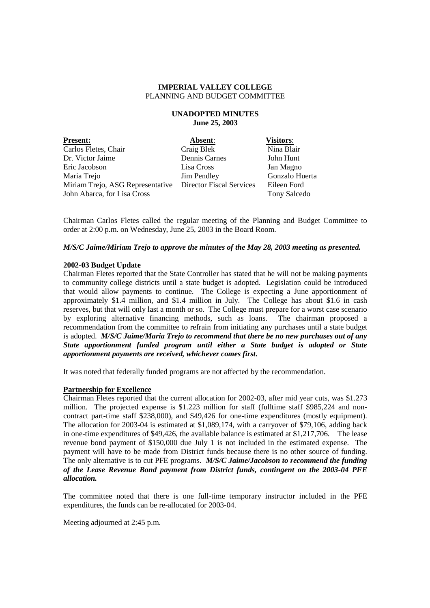## **UNADOPTED MINUTES June 25, 2003**

| <b>Present:</b>                                | Absent:     |
|------------------------------------------------|-------------|
| Carlos Fletes, Chair                           | Craig Blek  |
| Dr. Victor Jaime                               | Dennis Carn |
| Eric Jacobson                                  | Lisa Cross  |
| Maria Trejo                                    | Jim Pendley |
| Miriam Trejo, ASG Representative Director Fise |             |
| John Abarca, for Lisa Cross                    |             |

 $$ Nina Blair nes John Hunt Jan Magno Gonzalo Huerta cal Services Eileen Ford Tony Salcedo

Chairman Carlos Fletes called the regular meeting of the Planning and Budget Committee to order at 2:00 p.m. on Wednesday, June 25, 2003 in the Board Room.

## *M/S/C Jaime/Miriam Trejo to approve the minutes of the May 28, 2003 meeting as presented.*

#### **2002-03 Budget Update**

Chairman Fletes reported that the State Controller has stated that he will not be making payments to community college districts until a state budget is adopted. Legislation could be introduced that would allow payments to continue. The College is expecting a June apportionment of approximately \$1.4 million, and \$1.4 million in July. The College has about \$1.6 in cash reserves, but that will only last a month or so. The College must prepare for a worst case scenario by exploring alternative financing methods, such as loans. The chairman proposed a recommendation from the committee to refrain from initiating any purchases until a state budget is adopted. *M/S/C Jaime/Maria Trejo to recommend that there be no new purchases out of any State apportionment funded program until either a State budget is adopted or State apportionment payments are received, whichever comes first***.**

It was noted that federally funded programs are not affected by the recommendation.

#### **Partnership for Excellence**

Chairman Fletes reported that the current allocation for 2002-03, after mid year cuts, was \$1.273 million. The projected expense is \$1.223 million for staff (fulltime staff \$985,224 and noncontract part-time staff \$238,000), and \$49,426 for one-time expenditures (mostly equipment). The allocation for 2003-04 is estimated at \$1,089,174, with a carryover of \$79,106, adding back in one-time expenditures of \$49,426, the available balance is estimated at \$1,217,706. The lease revenue bond payment of \$150,000 due July 1 is not included in the estimated expense. The payment will have to be made from District funds because there is no other source of funding. The only alternative is to cut PFE programs. *M/S/C Jaime/Jacobson to recommend the funding of the Lease Revenue Bond payment from District funds, contingent on the 2003-04 PFE allocation.*

The committee noted that there is one full-time temporary instructor included in the PFE expenditures, the funds can be re-allocated for 2003-04.

Meeting adjourned at 2:45 p.m.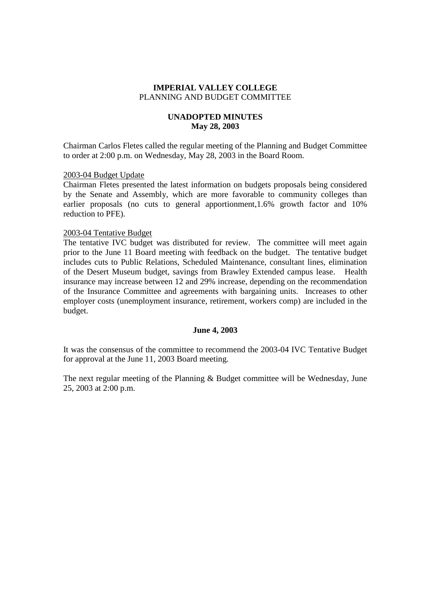# **UNADOPTED MINUTES May 28, 2003**

Chairman Carlos Fletes called the regular meeting of the Planning and Budget Committee to order at 2:00 p.m. on Wednesday, May 28, 2003 in the Board Room.

## 2003-04 Budget Update

Chairman Fletes presented the latest information on budgets proposals being considered by the Senate and Assembly, which are more favorable to community colleges than earlier proposals (no cuts to general apportionment,1.6% growth factor and 10% reduction to PFE).

## 2003-04 Tentative Budget

The tentative IVC budget was distributed for review. The committee will meet again prior to the June 11 Board meeting with feedback on the budget. The tentative budget includes cuts to Public Relations, Scheduled Maintenance, consultant lines, elimination of the Desert Museum budget, savings from Brawley Extended campus lease. Health insurance may increase between 12 and 29% increase, depending on the recommendation of the Insurance Committee and agreements with bargaining units. Increases to other employer costs (unemployment insurance, retirement, workers comp) are included in the budget.

## **June 4, 2003**

It was the consensus of the committee to recommend the 2003-04 IVC Tentative Budget for approval at the June 11, 2003 Board meeting.

The next regular meeting of the Planning & Budget committee will be Wednesday, June 25, 2003 at 2:00 p.m.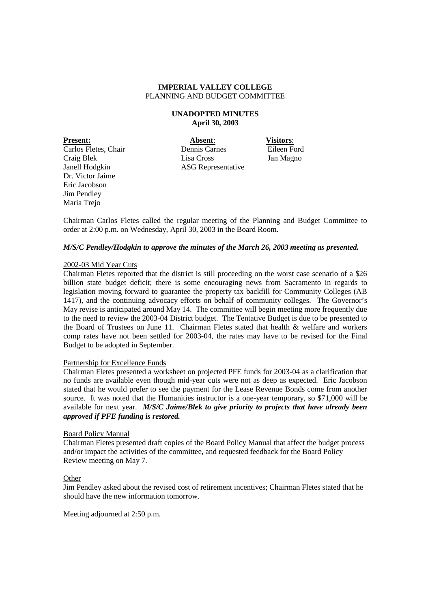## **UNADOPTED MINUTES April 30, 2003**

**Present: Absent**: **Visitors**: Dr. Victor Jaime Eric Jacobson Jim Pendley Maria Trejo

Carlos Fletes, Chair Dennis Carnes Eileen Ford Craig Blek Lisa Cross Jan Magno Janell Hodgkin ASG Representative

Chairman Carlos Fletes called the regular meeting of the Planning and Budget Committee to order at 2:00 p.m. on Wednesday, April 30, 2003 in the Board Room.

## *M/S/C Pendley/Hodgkin to approve the minutes of the March 26, 2003 meeting as presented.*

## 2002-03 Mid Year Cuts

Chairman Fletes reported that the district is still proceeding on the worst case scenario of a \$26 billion state budget deficit; there is some encouraging news from Sacramento in regards to legislation moving forward to guarantee the property tax backfill for Community Colleges (AB 1417), and the continuing advocacy efforts on behalf of community colleges. The Governor's May revise is anticipated around May 14. The committee will begin meeting more frequently due to the need to review the 2003-04 District budget. The Tentative Budget is due to be presented to the Board of Trustees on June 11. Chairman Fletes stated that health & welfare and workers comp rates have not been settled for 2003-04, the rates may have to be revised for the Final Budget to be adopted in September.

## Partnership for Excellence Funds

Chairman Fletes presented a worksheet on projected PFE funds for 2003-04 as a clarification that no funds are available even though mid-year cuts were not as deep as expected. Eric Jacobson stated that he would prefer to see the payment for the Lease Revenue Bonds come from another source. It was noted that the Humanities instructor is a one-year temporary, so \$71,000 will be available for next year. *M/S/C Jaime/Blek to give priority to projects that have already been approved if PFE funding is restored.*

## Board Policy Manual

Chairman Fletes presented draft copies of the Board Policy Manual that affect the budget process and/or impact the activities of the committee, and requested feedback for the Board Policy Review meeting on May 7.

## **Other**

Jim Pendley asked about the revised cost of retirement incentives; Chairman Fletes stated that he should have the new information tomorrow.

Meeting adjourned at 2:50 p.m.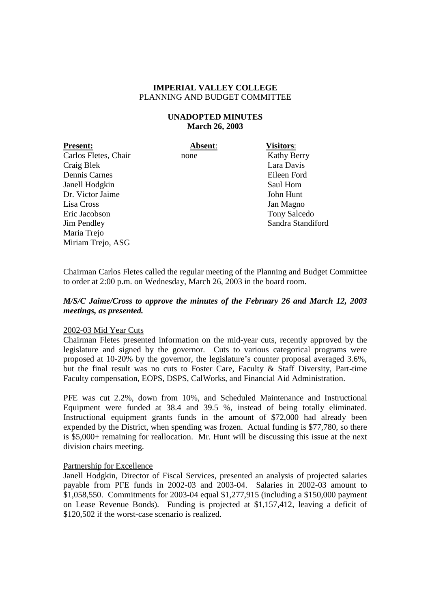# **UNADOPTED MINUTES March 26, 2003**

**Present: Absent**: **Visitors**: Carlos Fletes, Chair none Kathy Berry Craig Blek Lara Davis Dennis Carnes Eileen Ford Janell Hodgkin Saul Hom Dr. Victor Jaime John Hunt Lisa Cross Jan Magno Eric Jacobson Tony Salcedo Jim Pendley Sandra Standiford Maria Trejo Miriam Trejo, ASG

Chairman Carlos Fletes called the regular meeting of the Planning and Budget Committee to order at 2:00 p.m. on Wednesday, March 26, 2003 in the board room.

# *M/S/C Jaime/Cross to approve the minutes of the February 26 and March 12, 2003 meetings, as presented.*

## 2002-03 Mid Year Cuts

Chairman Fletes presented information on the mid-year cuts, recently approved by the legislature and signed by the governor. Cuts to various categorical programs were proposed at 10-20% by the governor, the legislature's counter proposal averaged 3.6%, but the final result was no cuts to Foster Care, Faculty & Staff Diversity, Part-time Faculty compensation, EOPS, DSPS, CalWorks, and Financial Aid Administration.

PFE was cut 2.2%, down from 10%, and Scheduled Maintenance and Instructional Equipment were funded at 38.4 and 39.5 %, instead of being totally eliminated. Instructional equipment grants funds in the amount of \$72,000 had already been expended by the District, when spending was frozen. Actual funding is \$77,780, so there is \$5,000+ remaining for reallocation. Mr. Hunt will be discussing this issue at the next division chairs meeting.

## Partnership for Excellence

Janell Hodgkin, Director of Fiscal Services, presented an analysis of projected salaries payable from PFE funds in 2002-03 and 2003-04. Salaries in 2002-03 amount to \$1,058,550. Commitments for 2003-04 equal \$1,277,915 (including a \$150,000 payment on Lease Revenue Bonds). Funding is projected at \$1,157,412, leaving a deficit of \$120,502 if the worst-case scenario is realized.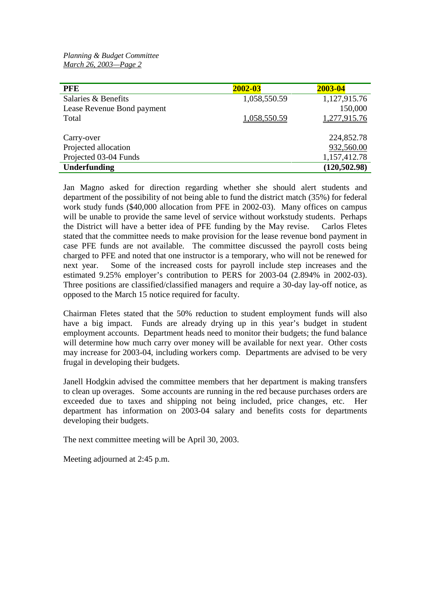*Planning & Budget Committee March 26, 2003—Page 2*

| <b>PFE</b>                 | 2002-03      | 2003-04        |
|----------------------------|--------------|----------------|
| Salaries & Benefits        | 1,058,550.59 | 1,127,915.76   |
| Lease Revenue Bond payment |              | 150,000        |
| Total                      | 1,058,550.59 | 1,277,915.76   |
|                            |              |                |
| Carry-over                 |              | 224,852.78     |
| Projected allocation       |              | 932,560.00     |
| Projected 03-04 Funds      |              | 1,157,412.78   |
| Underfunding               |              | (120, 502, 98) |

Jan Magno asked for direction regarding whether she should alert students and department of the possibility of not being able to fund the district match (35%) for federal work study funds (\$40,000 allocation from PFE in 2002-03). Many offices on campus will be unable to provide the same level of service without workstudy students. Perhaps the District will have a better idea of PFE funding by the May revise. Carlos Fletes stated that the committee needs to make provision for the lease revenue bond payment in case PFE funds are not available. The committee discussed the payroll costs being charged to PFE and noted that one instructor is a temporary, who will not be renewed for next year. Some of the increased costs for payroll include step increases and the estimated 9.25% employer's contribution to PERS for 2003-04 (2.894% in 2002-03). Three positions are classified/classified managers and require a 30-day lay-off notice, as opposed to the March 15 notice required for faculty.

Chairman Fletes stated that the 50% reduction to student employment funds will also have a big impact. Funds are already drying up in this year's budget in student employment accounts. Department heads need to monitor their budgets; the fund balance will determine how much carry over money will be available for next year. Other costs may increase for 2003-04, including workers comp. Departments are advised to be very frugal in developing their budgets.

Janell Hodgkin advised the committee members that her department is making transfers to clean up overages. Some accounts are running in the red because purchases orders are exceeded due to taxes and shipping not being included, price changes, etc. Her department has information on 2003-04 salary and benefits costs for departments developing their budgets.

The next committee meeting will be April 30, 2003.

Meeting adjourned at 2:45 p.m.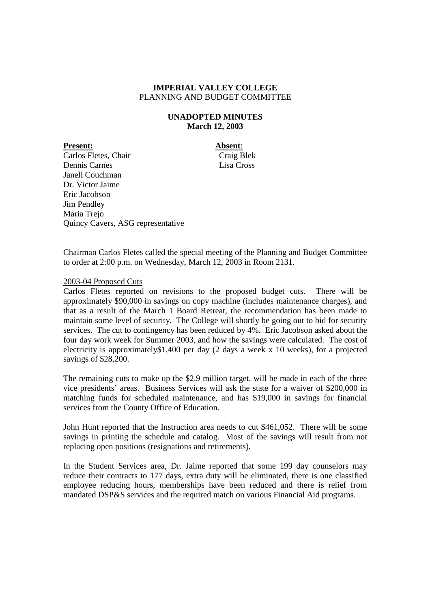# **UNADOPTED MINUTES March 12, 2003**

**Present: Absent**:

Carlos Fletes, Chair Craig Blek Dennis Carnes Lisa Cross Janell Couchman Dr. Victor Jaime Eric Jacobson Jim Pendley Maria Trejo Quincy Cavers, ASG representative

Chairman Carlos Fletes called the special meeting of the Planning and Budget Committee to order at 2:00 p.m. on Wednesday, March 12, 2003 in Room 2131.

# 2003-04 Proposed Cuts

Carlos Fletes reported on revisions to the proposed budget cuts. There will be approximately \$90,000 in savings on copy machine (includes maintenance charges), and that as a result of the March 1 Board Retreat, the recommendation has been made to maintain some level of security. The College will shortly be going out to bid for security services. The cut to contingency has been reduced by 4%. Eric Jacobson asked about the four day work week for Summer 2003, and how the savings were calculated. The cost of electricity is approximately\$1,400 per day (2 days a week x 10 weeks), for a projected savings of \$28,200.

The remaining cuts to make up the \$2.9 million target, will be made in each of the three vice presidents' areas. Business Services will ask the state for a waiver of \$200,000 in matching funds for scheduled maintenance, and has \$19,000 in savings for financial services from the County Office of Education.

John Hunt reported that the Instruction area needs to cut \$461,052. There will be some savings in printing the schedule and catalog. Most of the savings will result from not replacing open positions (resignations and retirements).

In the Student Services area, Dr. Jaime reported that some 199 day counselors may reduce their contracts to 177 days, extra duty will be eliminated, there is one classified employee reducing hours, memberships have been reduced and there is relief from mandated DSP&S services and the required match on various Financial Aid programs.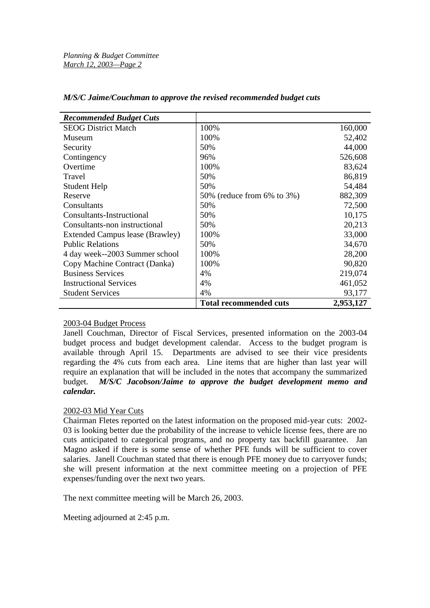| <b>Recommended Budget Cuts</b>  |                               |           |
|---------------------------------|-------------------------------|-----------|
| <b>SEOG District Match</b>      | 100%                          | 160,000   |
| Museum                          | 100%                          | 52,402    |
| Security                        | 50%                           | 44,000    |
| Contingency                     | 96%                           | 526,608   |
| Overtime                        | 100%                          | 83,624    |
| Travel                          | 50%                           | 86,819    |
| Student Help                    | 50%                           | 54,484    |
| Reserve                         | 50% (reduce from 6% to 3%)    | 882,309   |
| Consultants                     | 50%                           | 72,500    |
| Consultants-Instructional       | 50%                           | 10,175    |
| Consultants-non instructional   | 50%                           | 20,213    |
| Extended Campus lease (Brawley) | 100%                          | 33,000    |
| <b>Public Relations</b>         | 50%                           | 34,670    |
| 4 day week--2003 Summer school  | 100%                          | 28,200    |
| Copy Machine Contract (Danka)   | 100%                          | 90,820    |
| <b>Business Services</b>        | 4%                            | 219,074   |
| <b>Instructional Services</b>   | 4%                            | 461,052   |
| <b>Student Services</b>         | 4%                            | 93,177    |
|                                 | <b>Total recommended cuts</b> | 2,953,127 |

## *M/S/C Jaime/Couchman to approve the revised recommended budget cuts*

# 2003-04 Budget Process

Janell Couchman, Director of Fiscal Services, presented information on the 2003-04 budget process and budget development calendar. Access to the budget program is available through April 15. Departments are advised to see their vice presidents regarding the 4% cuts from each area. Line items that are higher than last year will require an explanation that will be included in the notes that accompany the summarized budget. *M/S/C Jacobson/Jaime to approve the budget development memo and calendar.*

# 2002-03 Mid Year Cuts

Chairman Fletes reported on the latest information on the proposed mid-year cuts: 2002- 03 is looking better due the probability of the increase to vehicle license fees, there are no cuts anticipated to categorical programs, and no property tax backfill guarantee. Jan Magno asked if there is some sense of whether PFE funds will be sufficient to cover salaries. Janell Couchman stated that there is enough PFE money due to carryover funds; she will present information at the next committee meeting on a projection of PFE expenses/funding over the next two years.

The next committee meeting will be March 26, 2003.

Meeting adjourned at 2:45 p.m.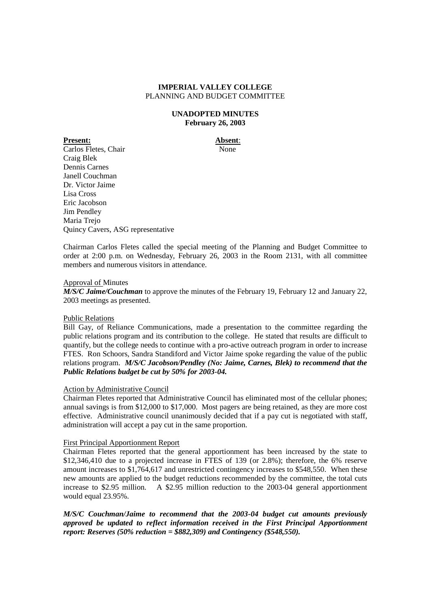## **UNADOPTED MINUTES February 26, 2003**

**Present: Absent**: Carlos Fletes, Chair None Craig Blek Dennis Carnes Janell Couchman Dr. Victor Jaime Lisa Cross Eric Jacobson Jim Pendley Maria Trejo Quincy Cavers, ASG representative

Chairman Carlos Fletes called the special meeting of the Planning and Budget Committee to order at 2:00 p.m. on Wednesday, February 26, 2003 in the Room 2131, with all committee members and numerous visitors in attendance.

## Approval of Minutes

*M/S/C Jaime/Couchman* to approve the minutes of the February 19, February 12 and January 22, 2003 meetings as presented.

## Public Relations

Bill Gay, of Reliance Communications, made a presentation to the committee regarding the public relations program and its contribution to the college. He stated that results are difficult to quantify, but the college needs to continue with a pro-active outreach program in order to increase FTES. Ron Schoors, Sandra Standiford and Victor Jaime spoke regarding the value of the public relations program. *M/S/C Jacobson/Pendley (No: Jaime, Carnes, Blek) to recommend that the Public Relations budget be cut by 50% for 2003-04.*

# Action by Administrative Council

Chairman Fletes reported that Administrative Council has eliminated most of the cellular phones; annual savings is from \$12,000 to \$17,000. Most pagers are being retained, as they are more cost effective. Administrative council unanimously decided that if a pay cut is negotiated with staff, administration will accept a pay cut in the same proportion.

## First Principal Apportionment Report

Chairman Fletes reported that the general apportionment has been increased by the state to \$12,346,410 due to a projected increase in FTES of 139 (or 2.8%); therefore, the 6% reserve amount increases to \$1,764,617 and unrestricted contingency increases to \$548,550. When these new amounts are applied to the budget reductions recommended by the committee, the total cuts increase to \$2.95 million. A \$2.95 million reduction to the 2003-04 general apportionment would equal 23.95%.

*M/S/C Couchman/Jaime to recommend that the 2003-04 budget cut amounts previously approved be updated to reflect information received in the First Principal Apportionment report: Reserves (50% reduction = \$882,309) and Contingency (\$548,550).*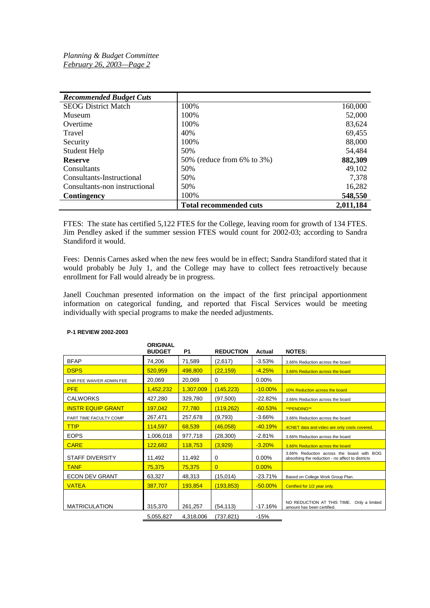| <b>Recommended Budget Cuts</b> |                               |           |
|--------------------------------|-------------------------------|-----------|
| <b>SEOG District Match</b>     | 100%                          | 160,000   |
| Museum                         | 100%                          | 52,000    |
| Overtime                       | 100%                          | 83,624    |
| Travel                         | 40%                           | 69,455    |
| Security                       | 100\%                         | 88,000    |
| Student Help                   | 50%                           | 54,484    |
| <b>Reserve</b>                 | 50% (reduce from 6% to 3%)    | 882,309   |
| Consultants                    | 50%                           | 49,102    |
| Consultants-Instructional      | 50%                           | 7,378     |
| Consultants-non instructional  | 50%                           | 16,282    |
| Contingency                    | 100%                          | 548,550   |
|                                | <b>Total recommended cuts</b> | 2,011,184 |

FTES: The state has certified 5,122 FTES for the College, leaving room for growth of 134 FTES. Jim Pendley asked if the summer session FTES would count for 2002-03; according to Sandra Standiford it would.

Fees: Dennis Carnes asked when the new fees would be in effect; Sandra Standiford stated that it would probably be July 1, and the College may have to collect fees retroactively because enrollment for Fall would already be in progress.

Janell Couchman presented information on the impact of the first principal apportionment information on categorical funding, and reported that Fiscal Services would be meeting individually with special programs to make the needed adjustments.

|                          | <b>ORIGINAL</b><br><b>BUDGET</b> | <b>P1</b> | <b>REDUCTION</b> | Actual     | <b>NOTES:</b>                                                                                 |
|--------------------------|----------------------------------|-----------|------------------|------------|-----------------------------------------------------------------------------------------------|
| <b>BFAP</b>              | 74,206                           | 71,589    | (2,617)          | $-3.53%$   | 3.66% Reduction across the board                                                              |
| <b>DSPS</b>              | 520,959                          | 498,800   | (22, 159)        | $-4.25%$   | 3.66% Reduction across the board                                                              |
| ENR FEE WAIVER ADMIN FEE | 20,069                           | 20,069    | $\mathbf 0$      | 0.00%      |                                                                                               |
| <b>PFE</b>               | 1,452,232                        | 1,307,009 | (145, 223)       | $-10.00\%$ | 10% Reduction across the board                                                                |
| <b>CALWORKS</b>          | 427,280                          | 329,780   | (97, 500)        | $-22.82%$  | 3.66% Reduction across the board                                                              |
| <b>INSTR EQUIP GRANT</b> | 197,042                          | 77,780    | (119,262)        | $-60.53%$  | <b>**PENDING**</b>                                                                            |
| PART TIME FACULTY COMP   | 267,471                          | 257,678   | (9,793)          | $-3.66%$   | 3.66% Reduction across the board                                                              |
| <b>TTIP</b>              | 114,597                          | 68,539    | (46,058)         | $-40.19%$  | 4CNET data and video are only costs covered.                                                  |
| <b>EOPS</b>              | 1,006,018                        | 977,718   | (28, 300)        | $-2.81%$   | 3.66% Reduction across the board                                                              |
| <b>CARE</b>              | 122.682                          | 118,753   | (3,929)          | $-3.20%$   | 3.66% Reduction across the board                                                              |
| <b>STAFF DIVERSITY</b>   | 11,492                           | 11,492    | $\Omega$         | $0.00\%$   | 3.66% Reduction across the board with BOG<br>absorbing the reduction - no affect to districts |
| <b>TANF</b>              | 75,375                           | 75,375    | $\overline{0}$   | 0.00%      |                                                                                               |
| <b>ECON DEV GRANT</b>    | 63,327                           | 48,313    | (15,014)         | $-23.71%$  | Based on College Work Group Plan.                                                             |
| <b>VATEA</b>             | 387,707                          | 193,854   | (193, 853)       | $-50.00\%$ | Certified for 1/2 year only.                                                                  |
| <b>MATRICULATION</b>     | 315,370                          | 261,257   | (54, 113)        | $-17.16%$  | NO REDUCTION AT THIS TIME. Only a limited<br>amount has been certified.                       |
|                          | 5,055,827                        | 4,318,006 | (737, 821)       | $-15%$     |                                                                                               |

## **P-1 REVIEW 2002-2003**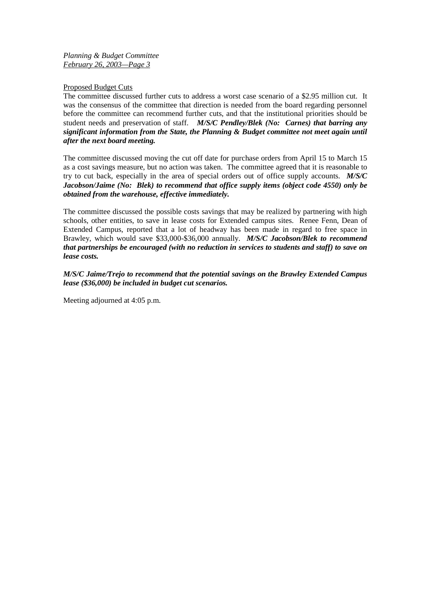*Planning & Budget Committee February 26, 2003—Page 3*

## Proposed Budget Cuts

The committee discussed further cuts to address a worst case scenario of a \$2.95 million cut. It was the consensus of the committee that direction is needed from the board regarding personnel before the committee can recommend further cuts, and that the institutional priorities should be student needs and preservation of staff. *M/S/C Pendley/Blek (No: Carnes) that barring any significant information from the State, the Planning & Budget committee not meet again until after the next board meeting.*

The committee discussed moving the cut off date for purchase orders from April 15 to March 15 as a cost savings measure, but no action was taken. The committee agreed that it is reasonable to try to cut back, especially in the area of special orders out of office supply accounts. *M/S/C Jacobson/Jaime (No: Blek) to recommend that office supply items (object code 4550) only be obtained from the warehouse, effective immediately.*

The committee discussed the possible costs savings that may be realized by partnering with high schools, other entities, to save in lease costs for Extended campus sites. Renee Fenn, Dean of Extended Campus, reported that a lot of headway has been made in regard to free space in Brawley, which would save \$33,000-\$36,000 annually. *M/S/C Jacobson/Blek to recommend that partnerships be encouraged (with no reduction in services to students and staff) to save on lease costs.*

*M/S/C Jaime/Trejo to recommend that the potential savings on the Brawley Extended Campus lease (\$36,000) be included in budget cut scenarios.*

Meeting adjourned at 4:05 p.m.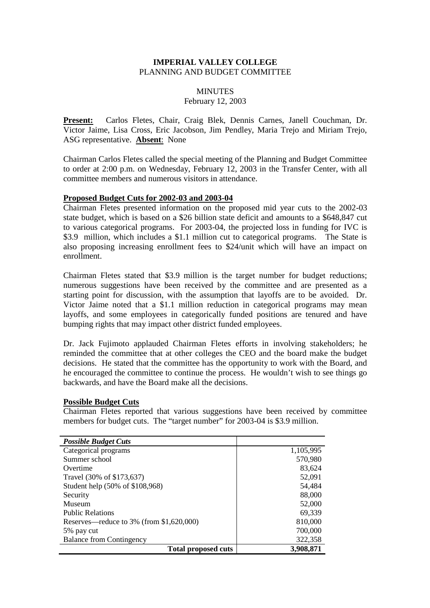# **MINUTES**

# February 12, 2003

**Present:** Carlos Fletes, Chair, Craig Blek, Dennis Carnes, Janell Couchman, Dr. Victor Jaime, Lisa Cross, Eric Jacobson, Jim Pendley, Maria Trejo and Miriam Trejo, ASG representative. **Absent**: None

Chairman Carlos Fletes called the special meeting of the Planning and Budget Committee to order at 2:00 p.m. on Wednesday, February 12, 2003 in the Transfer Center, with all committee members and numerous visitors in attendance.

## **Proposed Budget Cuts for 2002-03 and 2003-04**

Chairman Fletes presented information on the proposed mid year cuts to the 2002-03 state budget, which is based on a \$26 billion state deficit and amounts to a \$648,847 cut to various categorical programs. For 2003-04, the projected loss in funding for IVC is \$3.9 million, which includes a \$1.1 million cut to categorical programs. The State is also proposing increasing enrollment fees to \$24/unit which will have an impact on enrollment.

Chairman Fletes stated that \$3.9 million is the target number for budget reductions; numerous suggestions have been received by the committee and are presented as a starting point for discussion, with the assumption that layoffs are to be avoided. Dr. Victor Jaime noted that a \$1.1 million reduction in categorical programs may mean layoffs, and some employees in categorically funded positions are tenured and have bumping rights that may impact other district funded employees.

Dr. Jack Fujimoto applauded Chairman Fletes efforts in involving stakeholders; he reminded the committee that at other colleges the CEO and the board make the budget decisions. He stated that the committee has the opportunity to work with the Board, and he encouraged the committee to continue the process. He wouldn't wish to see things go backwards, and have the Board make all the decisions.

# **Possible Budget Cuts**

Chairman Fletes reported that various suggestions have been received by committee members for budget cuts. The "target number" for 2003-04 is \$3.9 million.

| <b>Possible Budget Cuts</b>              |           |
|------------------------------------------|-----------|
| Categorical programs                     | 1,105,995 |
| Summer school                            | 570,980   |
| Overtime                                 | 83,624    |
| Travel (30% of \$173,637)                | 52,091    |
| Student help (50% of \$108,968)          | 54,484    |
| Security                                 | 88,000    |
| Museum                                   | 52,000    |
| <b>Public Relations</b>                  | 69,339    |
| Reserves—reduce to 3% (from \$1,620,000) | 810,000   |
| 5% pay cut                               | 700,000   |
| <b>Balance from Contingency</b>          | 322,358   |
| <b>Total proposed cuts</b>               | 3,908,871 |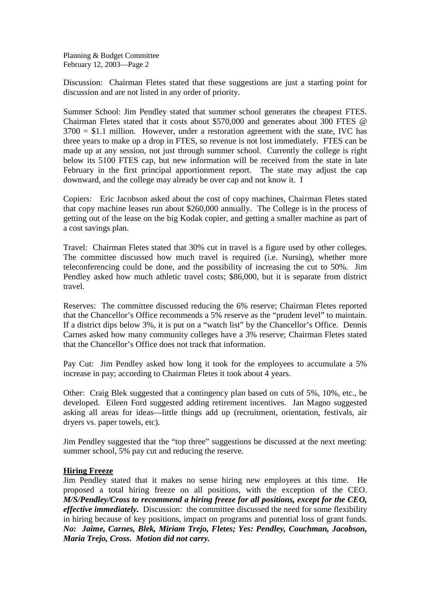Planning & Budget Committee February 12, 2003—Page 2

Discussion: Chairman Fletes stated that these suggestions are just a starting point for discussion and are not listed in any order of priority.

Summer School: Jim Pendley stated that summer school generates the cheapest FTES. Chairman Fletes stated that it costs about \$570,000 and generates about 300 FTES @  $3700 = $1.1$  million. However, under a restoration agreement with the state, IVC has three years to make up a drop in FTES, so revenue is not lost immediately. FTES can be made up at any session, not just through summer school. Currently the college is right below its 5100 FTES cap, but new information will be received from the state in late February in the first principal apportionment report. The state may adjust the cap downward, and the college may already be over cap and not know it. I

Copiers: Eric Jacobson asked about the cost of copy machines, Chairman Fletes stated that copy machine leases run about \$260,000 annually. The College is in the process of getting out of the lease on the big Kodak copier, and getting a smaller machine as part of a cost savings plan.

Travel: Chairman Fletes stated that 30% cut in travel is a figure used by other colleges. The committee discussed how much travel is required (i.e. Nursing), whether more teleconferencing could be done, and the possibility of increasing the cut to 50%. Jim Pendley asked how much athletic travel costs; \$86,000, but it is separate from district travel.

Reserves: The committee discussed reducing the 6% reserve; Chairman Fletes reported that the Chancellor's Office recommends a 5% reserve as the "prudent level" to maintain. If a district dips below 3%, it is put on a "watch list" by the Chancellor's Office. Dennis Carnes asked how many community colleges have a 3% reserve; Chairman Fletes stated that the Chancellor's Office does not track that information.

Pay Cut: Jim Pendley asked how long it took for the employees to accumulate a 5% increase in pay; according to Chairman Fletes it took about 4 years.

Other: Craig Blek suggested that a contingency plan based on cuts of 5%, 10%, etc., be developed. Eileen Ford suggested adding retirement incentives. Jan Magno suggested asking all areas for ideas—little things add up (recruitment, orientation, festivals, air dryers vs. paper towels, etc).

Jim Pendley suggested that the "top three" suggestions be discussed at the next meeting: summer school, 5% pay cut and reducing the reserve.

# **Hiring Freeze**

Jim Pendley stated that it makes no sense hiring new employees at this time. He proposed a total hiring freeze on all positions, with the exception of the CEO. *M/S/Pendley/Cross to recommend a hiring freeze for all positions, except for the CEO, effective immediately.* Discussion: the committee discussed the need for some flexibility in hiring because of key positions, impact on programs and potential loss of grant funds. *No: Jaime, Carnes, Blek, Miriam Trejo, Fletes; Yes: Pendley, Couchman, Jacobson, Maria Trejo, Cross. Motion did not carry.*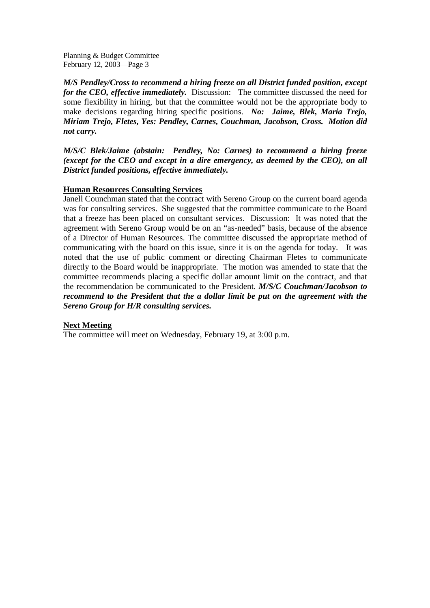Planning & Budget Committee February 12, 2003—Page 3

*M/S Pendley/Cross to recommend a hiring freeze on all District funded position, except for the CEO, effective immediately.* Discussion: The committee discussed the need for some flexibility in hiring, but that the committee would not be the appropriate body to make decisions regarding hiring specific positions. *No: Jaime, Blek, Maria Trejo, Miriam Trejo, Fletes, Yes: Pendley, Carnes, Couchman, Jacobson, Cross. Motion did not carry.*

*M/S/C Blek/Jaime (abstain: Pendley, No: Carnes) to recommend a hiring freeze (except for the CEO and except in a dire emergency, as deemed by the CEO), on all District funded positions, effective immediately.*

# **Human Resources Consulting Services**

Janell Counchman stated that the contract with Sereno Group on the current board agenda was for consulting services. She suggested that the committee communicate to the Board that a freeze has been placed on consultant services. Discussion: It was noted that the agreement with Sereno Group would be on an "as-needed" basis, because of the absence of a Director of Human Resources. The committee discussed the appropriate method of communicating with the board on this issue, since it is on the agenda for today. It was noted that the use of public comment or directing Chairman Fletes to communicate directly to the Board would be inappropriate. The motion was amended to state that the committee recommends placing a specific dollar amount limit on the contract, and that the recommendation be communicated to the President. *M/S/C Couchman/Jacobson to recommend to the President that the a dollar limit be put on the agreement with the Sereno Group for H/R consulting services.*

# **Next Meeting**

The committee will meet on Wednesday, February 19, at 3:00 p.m.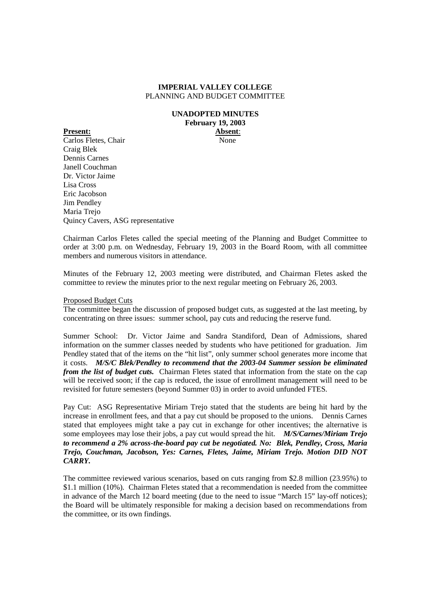#### **UNADOPTED MINUTES February 19, 2003 Present: Absent**:

Carlos Fletes, Chair None Craig Blek Dennis Carnes Janell Couchman Dr. Victor Jaime Lisa Cross Eric Jacobson Jim Pendley Maria Trejo Quincy Cavers, ASG representative

Chairman Carlos Fletes called the special meeting of the Planning and Budget Committee to order at 3:00 p.m. on Wednesday, February 19, 2003 in the Board Room, with all committee members and numerous visitors in attendance.

Minutes of the February 12, 2003 meeting were distributed, and Chairman Fletes asked the committee to review the minutes prior to the next regular meeting on February 26, 2003.

## Proposed Budget Cuts

The committee began the discussion of proposed budget cuts, as suggested at the last meeting, by concentrating on three issues: summer school, pay cuts and reducing the reserve fund.

Summer School: Dr. Victor Jaime and Sandra Standiford, Dean of Admissions, shared information on the summer classes needed by students who have petitioned for graduation. Jim Pendley stated that of the items on the "hit list", only summer school generates more income that it costs. *M/S/C Blek/Pendley to recommend that the 2003-04 Summer session be eliminated from the list of budget cuts.* Chairman Fletes stated that information from the state on the cap will be received soon; if the cap is reduced, the issue of enrollment management will need to be revisited for future semesters (beyond Summer 03) in order to avoid unfunded FTES.

Pay Cut: ASG Representative Miriam Trejo stated that the students are being hit hard by the increase in enrollment fees, and that a pay cut should be proposed to the unions. Dennis Carnes stated that employees might take a pay cut in exchange for other incentives; the alternative is some employees may lose their jobs, a pay cut would spread the hit. *M/S/Carnes/Miriam Trejo to recommend a 2% across-the-board pay cut be negotiated. No: Blek, Pendley, Cross, Maria Trejo, Couchman, Jacobson, Yes: Carnes, Fletes, Jaime, Miriam Trejo. Motion DID NOT CARRY.*

The committee reviewed various scenarios, based on cuts ranging from \$2.8 million (23.95%) to \$1.1 million (10%). Chairman Fletes stated that a recommendation is needed from the committee in advance of the March 12 board meeting (due to the need to issue "March 15" lay-off notices); the Board will be ultimately responsible for making a decision based on recommendations from the committee, or its own findings.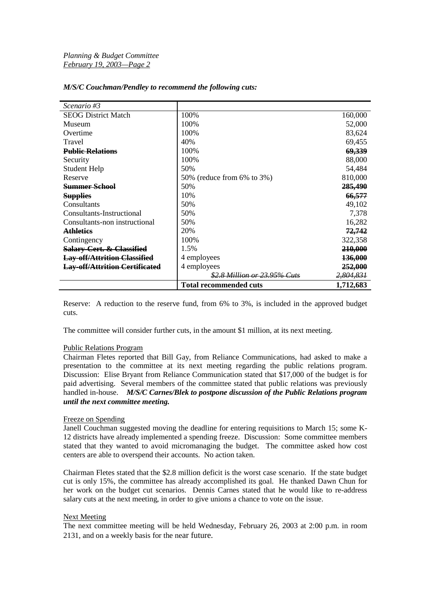| Scenario #3                           |                                     |                      |
|---------------------------------------|-------------------------------------|----------------------|
| <b>SEOG District Match</b>            | 100%                                | 160,000              |
| Museum                                | 100%                                | 52,000               |
| Overtime                              | 100%                                | 83,624               |
| Travel                                | 40%                                 | 69,455               |
| <b>Public Relations</b>               | 100\%                               | 69,339               |
| Security                              | 100%                                | 88,000               |
| <b>Student Help</b>                   | 50%                                 | 54,484               |
| Reserve                               | 50% (reduce from 6% to 3%)          | 810,000              |
| <b>Summer School</b>                  | 50%                                 | 285,490              |
| <b>Supplies</b>                       | 10%                                 | 66,577               |
| Consultants                           | 50%                                 | 49,102               |
| Consultants-Instructional             | 50%                                 | 7,378                |
| Consultants-non instructional         | 50%                                 | 16,282               |
| <b>Athletics</b>                      | 20%                                 | 72,742               |
| Contingency                           | 100%                                | 322,358              |
| Salary-Cert. & Classified             | 1.5%                                | <b>210,000</b>       |
| <b>Lay-off/Attrition Classified</b>   | 4 employees                         | 136,000              |
| <b>Lay-off/Attrition Certificated</b> | 4 employees                         | 252,000              |
|                                       | <u>\$2.8 Million or 23.95% Cuts</u> | <del>2,804,831</del> |
|                                       | <b>Total recommended cuts</b>       | 1,712,683            |

## *M/S/C Couchman/Pendley to recommend the following cuts:*

Reserve: A reduction to the reserve fund, from 6% to 3%, is included in the approved budget cuts.

The committee will consider further cuts, in the amount \$1 million, at its next meeting.

## Public Relations Program

Chairman Fletes reported that Bill Gay, from Reliance Communications, had asked to make a presentation to the committee at its next meeting regarding the public relations program. Discussion: Elise Bryant from Reliance Communication stated that \$17,000 of the budget is for paid advertising. Several members of the committee stated that public relations was previously handled in-house. *M/S/C Carnes/Blek to postpone discussion of the Public Relations program until the next committee meeting.*

## Freeze on Spending

Janell Couchman suggested moving the deadline for entering requisitions to March 15; some K-12 districts have already implemented a spending freeze. Discussion: Some committee members stated that they wanted to avoid micromanaging the budget. The committee asked how cost centers are able to overspend their accounts. No action taken.

Chairman Fletes stated that the \$2.8 million deficit is the worst case scenario. If the state budget cut is only 15%, the committee has already accomplished its goal. He thanked Dawn Chun for her work on the budget cut scenarios. Dennis Carnes stated that he would like to re-address salary cuts at the next meeting, in order to give unions a chance to vote on the issue.

## Next Meeting

The next committee meeting will be held Wednesday, February 26, 2003 at 2:00 p.m. in room 2131, and on a weekly basis for the near future.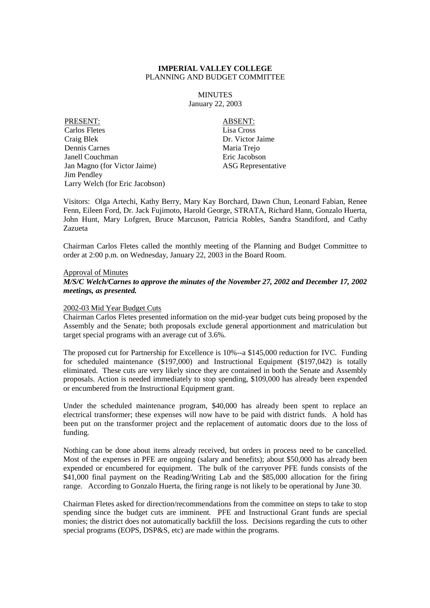MINUTES January 22, 2003

PRESENT: ABSENT: Carlos Fletes Lisa Cross Craig Blek Dr. Victor Jaime Dennis Carnes Maria Trejo Janell Couchman Eric Jacobson Jan Magno (for Victor Jaime) ASG Representative Jim Pendley Larry Welch (for Eric Jacobson)

Visitors: Olga Artechi, Kathy Berry, Mary Kay Borchard, Dawn Chun, Leonard Fabian, Renee Fenn, Eileen Ford, Dr. Jack Fujimoto, Harold George, STRATA, Richard Hann, Gonzalo Huerta, John Hunt, Mary Lofgren, Bruce Marcuson, Patricia Robles, Sandra Standiford, and Cathy Zazueta

Chairman Carlos Fletes called the monthly meeting of the Planning and Budget Committee to order at 2:00 p.m. on Wednesday, January 22, 2003 in the Board Room.

## Approval of Minutes

## *M/S/C Welch/Carnes to approve the minutes of the November 27, 2002 and December 17, 2002 meetings, as presented.*

## 2002-03 Mid Year Budget Cuts

Chairman Carlos Fletes presented information on the mid-year budget cuts being proposed by the Assembly and the Senate; both proposals exclude general apportionment and matriculation but target special programs with an average cut of 3.6%.

The proposed cut for Partnership for Excellence is 10%--a \$145,000 reduction for IVC. Funding for scheduled maintenance (\$197,000) and Instructional Equipment (\$197,042) is totally eliminated. These cuts are very likely since they are contained in both the Senate and Assembly proposals. Action is needed immediately to stop spending, \$109,000 has already been expended or encumbered from the Instructional Equipment grant.

Under the scheduled maintenance program, \$40,000 has already been spent to replace an electrical transformer; these expenses will now have to be paid with district funds. A hold has been put on the transformer project and the replacement of automatic doors due to the loss of funding.

Nothing can be done about items already received, but orders in process need to be cancelled. Most of the expenses in PFE are ongoing (salary and benefits); about \$50,000 has already been expended or encumbered for equipment. The bulk of the carryover PFE funds consists of the \$41,000 final payment on the Reading/Writing Lab and the \$85,000 allocation for the firing range. According to Gonzalo Huerta, the firing range is not likely to be operational by June 30.

Chairman Fletes asked for direction/recommendations from the committee on steps to take to stop spending since the budget cuts are imminent. PFE and Instructional Grant funds are special monies; the district does not automatically backfill the loss. Decisions regarding the cuts to other special programs (EOPS, DSP&S, etc) are made within the programs.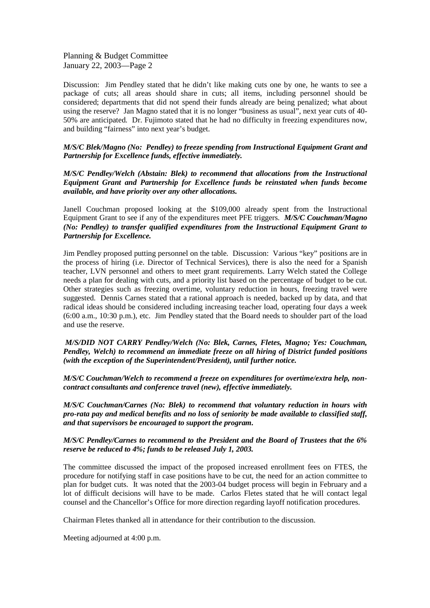Planning & Budget Committee January 22, 2003—Page 2

Discussion: Jim Pendley stated that he didn't like making cuts one by one, he wants to see a package of cuts; all areas should share in cuts; all items, including personnel should be considered; departments that did not spend their funds already are being penalized; what about using the reserve? Jan Magno stated that it is no longer "business as usual", next year cuts of 40- 50% are anticipated. Dr. Fujimoto stated that he had no difficulty in freezing expenditures now, and building "fairness" into next year's budget.

*M/S/C Blek/Magno (No: Pendley) to freeze spending from Instructional Equipment Grant and Partnership for Excellence funds, effective immediately.*

*M/S/C Pendley/Welch (Abstain: Blek) to recommend that allocations from the Instructional Equipment Grant and Partnership for Excellence funds be reinstated when funds become available, and have priority over any other allocations.*

Janell Couchman proposed looking at the \$109,000 already spent from the Instructional Equipment Grant to see if any of the expenditures meet PFE triggers. *M/S/C Couchman/Magno (No: Pendley) to transfer qualified expenditures from the Instructional Equipment Grant to Partnership for Excellence.*

Jim Pendley proposed putting personnel on the table. Discussion: Various "key" positions are in the process of hiring (i.e. Director of Technical Services), there is also the need for a Spanish teacher, LVN personnel and others to meet grant requirements. Larry Welch stated the College needs a plan for dealing with cuts, and a priority list based on the percentage of budget to be cut. Other strategies such as freezing overtime, voluntary reduction in hours, freezing travel were suggested. Dennis Carnes stated that a rational approach is needed, backed up by data, and that radical ideas should be considered including increasing teacher load, operating four days a week (6:00 a.m., 10:30 p.m.), etc. Jim Pendley stated that the Board needs to shoulder part of the load and use the reserve.

*M/S/DID NOT CARRY Pendley/Welch (No: Blek, Carnes, Fletes, Magno; Yes: Couchman, Pendley, Welch) to recommend an immediate freeze on all hiring of District funded positions (with the exception of the Superintendent/President), until further notice.*

*M/S/C Couchman/Welch to recommend a freeze on expenditures for overtime/extra help, noncontract consultants and conference travel (new), effective immediately.*

*M/S/C Couchman/Carnes (No: Blek) to recommend that voluntary reduction in hours with pro-rata pay and medical benefits and no loss of seniority be made available to classified staff, and that supervisors be encouraged to support the program.*

*M/S/C Pendley/Carnes to recommend to the President and the Board of Trustees that the 6% reserve be reduced to 4%; funds to be released July 1, 2003.*

The committee discussed the impact of the proposed increased enrollment fees on FTES, the procedure for notifying staff in case positions have to be cut, the need for an action committee to plan for budget cuts. It was noted that the 2003-04 budget process will begin in February and a lot of difficult decisions will have to be made. Carlos Fletes stated that he will contact legal counsel and the Chancellor's Office for more direction regarding layoff notification procedures.

Chairman Fletes thanked all in attendance for their contribution to the discussion.

Meeting adjourned at 4:00 p.m.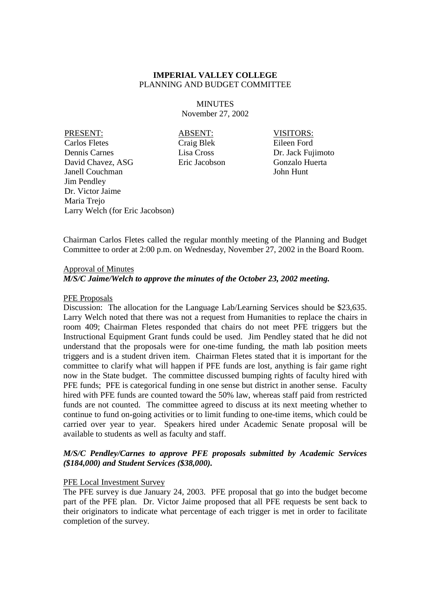**MINUTES** November 27, 2002

PRESENT: ABSENT: VISITORS: Carlos Fletes Craig Blek Eileen Ford Dennis Carnes Lisa Cross Dr. Jack Fujimoto David Chavez, ASG Eric Jacobson Gonzalo Huerta Janell Couchman John Hunt Jim Pendley Dr. Victor Jaime Maria Trejo Larry Welch (for Eric Jacobson)

Chairman Carlos Fletes called the regular monthly meeting of the Planning and Budget Committee to order at 2:00 p.m. on Wednesday, November 27, 2002 in the Board Room.

## Approval of Minutes

*M/S/C Jaime/Welch to approve the minutes of the October 23, 2002 meeting.*

## PFE Proposals

Discussion: The allocation for the Language Lab/Learning Services should be \$23,635. Larry Welch noted that there was not a request from Humanities to replace the chairs in room 409; Chairman Fletes responded that chairs do not meet PFE triggers but the Instructional Equipment Grant funds could be used. Jim Pendley stated that he did not understand that the proposals were for one-time funding, the math lab position meets triggers and is a student driven item. Chairman Fletes stated that it is important for the committee to clarify what will happen if PFE funds are lost, anything is fair game right now in the State budget. The committee discussed bumping rights of faculty hired with PFE funds; PFE is categorical funding in one sense but district in another sense. Faculty hired with PFE funds are counted toward the 50% law, whereas staff paid from restricted funds are not counted. The committee agreed to discuss at its next meeting whether to continue to fund on-going activities or to limit funding to one-time items, which could be carried over year to year. Speakers hired under Academic Senate proposal will be available to students as well as faculty and staff.

# *M/S/C Pendley/Carnes to approve PFE proposals submitted by Academic Services (\$184,000) and Student Services (\$38,000).*

## PFE Local Investment Survey

The PFE survey is due January 24, 2003. PFE proposal that go into the budget become part of the PFE plan. Dr. Victor Jaime proposed that all PFE requests be sent back to their originators to indicate what percentage of each trigger is met in order to facilitate completion of the survey.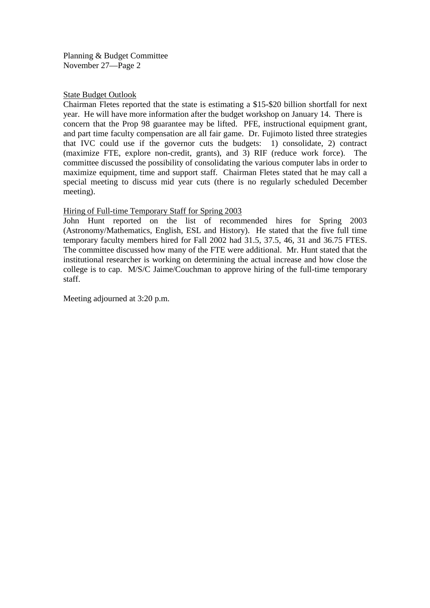Planning & Budget Committee November 27—Page 2

# State Budget Outlook

Chairman Fletes reported that the state is estimating a \$15-\$20 billion shortfall for next year. He will have more information after the budget workshop on January 14. There is concern that the Prop 98 guarantee may be lifted. PFE, instructional equipment grant, and part time faculty compensation are all fair game. Dr. Fujimoto listed three strategies that IVC could use if the governor cuts the budgets: 1) consolidate, 2) contract (maximize FTE, explore non-credit, grants), and 3) RIF (reduce work force). The committee discussed the possibility of consolidating the various computer labs in order to maximize equipment, time and support staff. Chairman Fletes stated that he may call a special meeting to discuss mid year cuts (there is no regularly scheduled December meeting).

# Hiring of Full-time Temporary Staff for Spring 2003

John Hunt reported on the list of recommended hires for Spring 2003 (Astronomy/Mathematics, English, ESL and History). He stated that the five full time temporary faculty members hired for Fall 2002 had 31.5, 37.5, 46, 31 and 36.75 FTES. The committee discussed how many of the FTE were additional. Mr. Hunt stated that the institutional researcher is working on determining the actual increase and how close the college is to cap. M/S/C Jaime/Couchman to approve hiring of the full-time temporary staff.

Meeting adjourned at 3:20 p.m.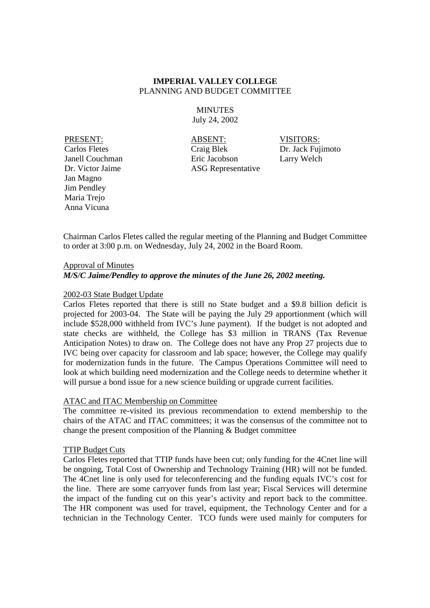**MINUTES** July 24, 2002

Jan Magno Jim Pendley Maria Trejo Anna Vicuna

PRESENT: ABSENT: VISITORS: Carlos Fletes Craig Blek Dr. Jack Fujimoto Janell Couchman Eric Jacobson Larry Welch Dr. Victor Jaime ASG Representative

Chairman Carlos Fletes called the regular meeting of the Planning and Budget Committee to order at 3:00 p.m. on Wednesday, July 24, 2002 in the Board Room.

## Approval of Minutes

## *M/S/C Jaime/Pendley to approve the minutes of the June 26, 2002 meeting.*

## 2002-03 State Budget Update

Carlos Fletes reported that there is still no State budget and a \$9.8 billion deficit is projected for 2003-04. The State will be paying the July 29 apportionment (which will include \$528,000 withheld from IVC's June payment). If the budget is not adopted and state checks are withheld, the College has \$3 million in TRANS (Tax Revenue Anticipation Notes) to draw on. The College does not have any Prop 27 projects due to IVC being over capacity for classroom and lab space; however, the College may qualify for modernization funds in the future. The Campus Operations Committee will need to look at which building need modernization and the College needs to determine whether it will pursue a bond issue for a new science building or upgrade current facilities.

## ATAC and ITAC Membership on Committee

The committee re-visited its previous recommendation to extend membership to the chairs of the ATAC and ITAC committees; it was the consensus of the committee not to change the present composition of the Planning & Budget committee

## TTIP Budget Cuts

Carlos Fletes reported that TTIP funds have been cut; only funding for the 4Cnet line will be ongoing, Total Cost of Ownership and Technology Training (HR) will not be funded. The 4Cnet line is only used for teleconferencing and the funding equals IVC's cost for the line. There are some carryover funds from last year; Fiscal Services will determine the impact of the funding cut on this year's activity and report back to the committee. The HR component was used for travel, equipment, the Technology Center and for a technician in the Technology Center. TCO funds were used mainly for computers for